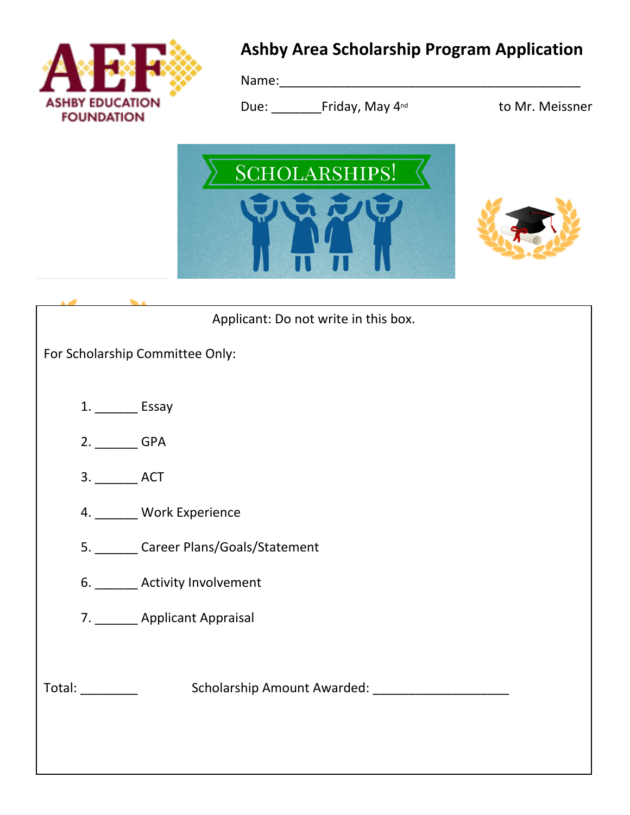

# **Ashby Area Scholarship Program Application**

Name:\_\_\_\_\_\_\_\_\_\_\_\_\_\_\_\_\_\_\_\_\_\_\_\_\_\_\_\_\_\_\_\_\_\_\_\_\_\_\_\_\_\_

Due: Friday, May 4<sup>nd</sup> to Mr. Meissner





| Applicant: Do not write in this box.               |
|----------------------------------------------------|
| For Scholarship Committee Only:                    |
|                                                    |
| 1. __________ Essay                                |
| 2. ________ GPA                                    |
| 3. ____________ ACT                                |
| 4. ______ Work Experience                          |
| 5. Career Plans/Goals/Statement                    |
| 6. _______ Activity Involvement                    |
| 7. ________ Applicant Appraisal                    |
|                                                    |
| Scholarship Amount Awarded: ______________________ |
|                                                    |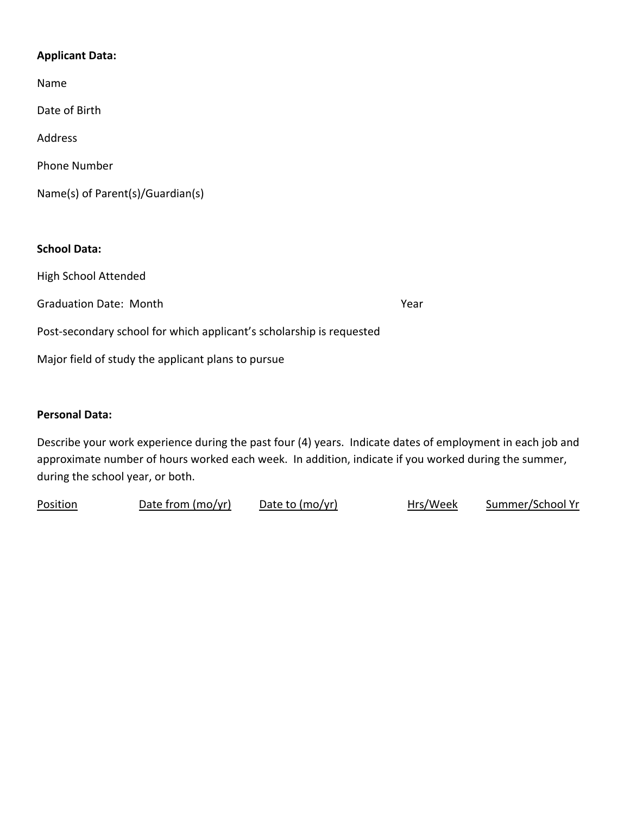### **Applicant Data:**

| Name                                                                 |      |
|----------------------------------------------------------------------|------|
| Date of Birth                                                        |      |
| Address                                                              |      |
| Phone Number                                                         |      |
| Name(s) of Parent(s)/Guardian(s)                                     |      |
|                                                                      |      |
| <b>School Data:</b>                                                  |      |
| <b>High School Attended</b>                                          |      |
| <b>Graduation Date: Month</b>                                        | Year |
| Post-secondary school for which applicant's scholarship is requested |      |
| Major field of study the applicant plans to pursue                   |      |
|                                                                      |      |

### **Personal Data:**

Describe your work experience during the past four (4) years. Indicate dates of employment in each job and approximate number of hours worked each week. In addition, indicate if you worked during the summer, during the school year, or both.

| Position | Date from (mo/yr) | Date to (mo/yr) | Hrs/Week | Summer/School Yr |
|----------|-------------------|-----------------|----------|------------------|
|          |                   |                 |          |                  |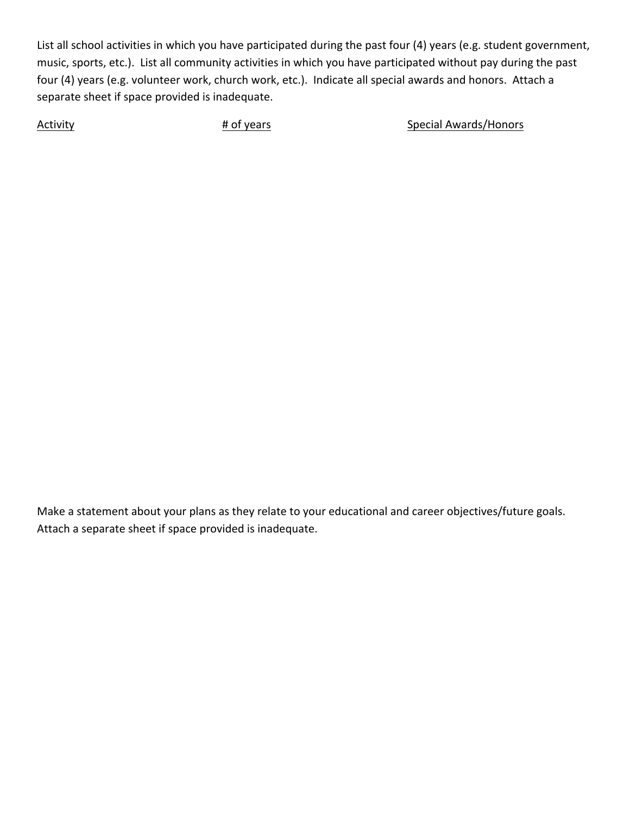List all school activities in which you have participated during the past four (4) years (e.g. student government, music, sports, etc.). List all community activities in which you have participated without pay during the past four (4) years (e.g. volunteer work, church work, etc.). Indicate all special awards and honors. Attach a separate sheet if space provided is inadequate.

Activity **Activity Activity Example 2018** Hof years **Activity Special Awards/Honors** 

Make a statement about your plans as they relate to your educational and career objectives/future goals. Attach a separate sheet if space provided is inadequate.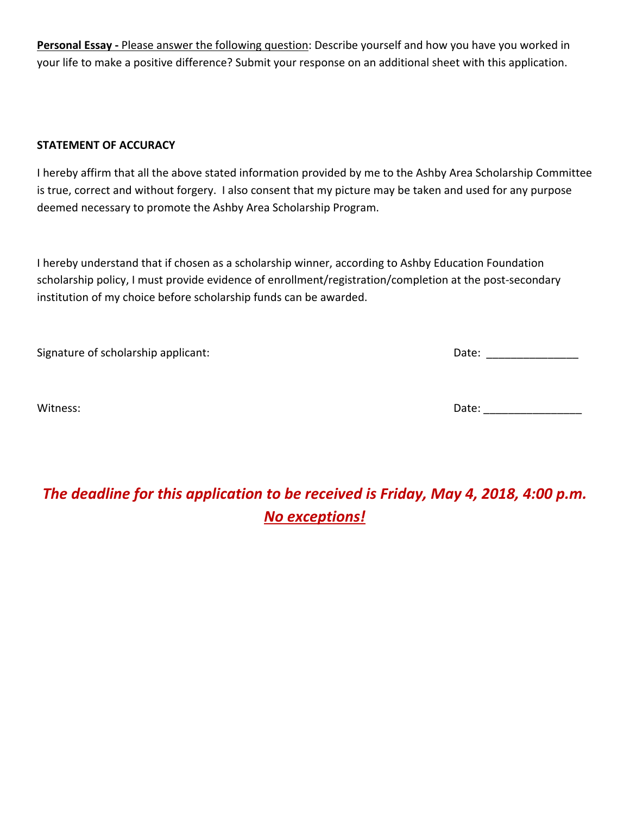**Personal Essay -** Please answer the following question: Describe yourself and how you have you worked in your life to make a positive difference? Submit your response on an additional sheet with this application.

### **STATEMENT OF ACCURACY**

I hereby affirm that all the above stated information provided by me to the Ashby Area Scholarship Committee is true, correct and without forgery. I also consent that my picture may be taken and used for any purpose deemed necessary to promote the Ashby Area Scholarship Program.

I hereby understand that if chosen as a scholarship winner, according to Ashby Education Foundation scholarship policy, I must provide evidence of enrollment/registration/completion at the post-secondary institution of my choice before scholarship funds can be awarded.

| Signature of scholarship applicant: | Date: |
|-------------------------------------|-------|
| Witness:                            | Date: |

# *The deadline for this application to be received is Friday, May 4, 2018, 4:00 p.m. No exceptions!*